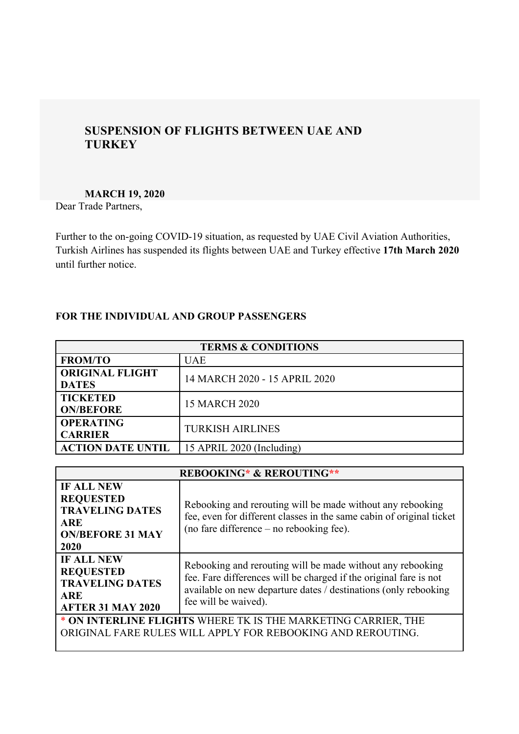# **SUSPENSION OF FLIGHTS BETWEEN UAE AND TURKEY**

#### **MARCH 19, 2020**

Dear Trade Partners,

Further to the on-going COVID-19 situation, as requested by UAE Civil Aviation Authorities, Turkish Airlines has suspended its flights between UAE and Turkey effective **17th March 2020** until further notice.

## **FOR THE INDIVIDUAL AND GROUP PASSENGERS**

| <b>TERMS &amp; CONDITIONS</b>          |                               |  |
|----------------------------------------|-------------------------------|--|
| <b>FROM/TO</b>                         | UAE                           |  |
| <b>ORIGINAL FLIGHT</b><br><b>DATES</b> | 14 MARCH 2020 - 15 APRIL 2020 |  |
| <b>TICKETED</b><br><b>ON/BEFORE</b>    | <b>15 MARCH 2020</b>          |  |
| <b>OPERATING</b><br><b>CARRIER</b>     | <b>TURKISH AIRLINES</b>       |  |
| <b>ACTION DATE UNTIL</b>               | 15 APRIL 2020 (Including)     |  |

| <b>REBOOKING* &amp; REROUTING**</b>                                                                                          |                                                                                                                                                                                                                            |
|------------------------------------------------------------------------------------------------------------------------------|----------------------------------------------------------------------------------------------------------------------------------------------------------------------------------------------------------------------------|
| <b>IF ALL NEW</b><br><b>REQUESTED</b><br><b>TRAVELING DATES</b><br><b>ARE</b><br><b>ON/BEFORE 31 MAY</b><br>2020             | Rebooking and rerouting will be made without any rebooking<br>fee, even for different classes in the same cabin of original ticket<br>(no fare difference $-$ no rebooking fee).                                           |
| <b>IF ALL NEW</b><br><b>REQUESTED</b><br><b>TRAVELING DATES</b><br><b>ARE</b><br><b>AFTER 31 MAY 2020</b>                    | Rebooking and rerouting will be made without any rebooking<br>fee. Fare differences will be charged if the original fare is not<br>available on new departure dates / destinations (only rebooking<br>fee will be waived). |
| * ON INTERLINE FLIGHTS WHERE TK IS THE MARKETING CARRIER, THE<br>ORIGINAL FARE RULES WILL APPLY FOR REBOOKING AND REROUTING. |                                                                                                                                                                                                                            |